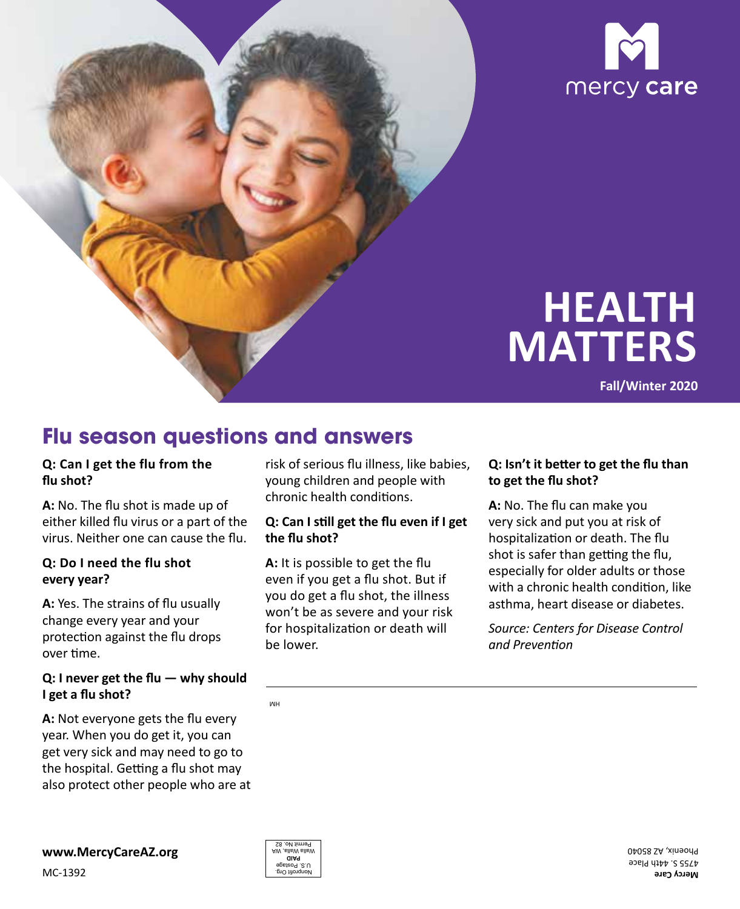

# **HEALTH MATTERS**

**Fall/Winter 2020**

### **Flu season questions and answers**

#### **Q: Can I get the flu from the flu shot?**

 **A:** No. The flu shot is made up of either killed flu virus or a part of the virus. Neither one can cause the flu.

#### **Q: Do I need the flu shot every year?**

**A:** Yes. The strains of flu usually change every year and your protection against the flu drops over time.

#### **Q: I never get the flu — why should I get a flu shot?**

**A:** Not everyone gets the flu every year. When you do get it, you can get very sick and may need to go to the hospital. Getting a flu shot may also protect other people who are at



risk of serious flu illness, like babies, young children and people with chronic health conditions.

#### **Q: Can I still get the flu even if I get the flu shot?**

 **A:** It is possible to get the flu you do get a flu shot, the illness won't be as severe and your risk even if you get a flu shot. But if for hospitalization or death will be lower.

#### **Q: Isn't it better to get the flu than to get the flu shot?**

**A:** No. The flu can make you very sick and put you at risk of hospitalization or death. The flu shot is safer than getting the flu, especially for older adults or those with a chronic health condition, like asthma, heart disease or diabetes.

*Source: Centers for Disease Control and Prevention*

MH



**Mercy Care** 4755 S. 44th Place Phoenix, AZ 85040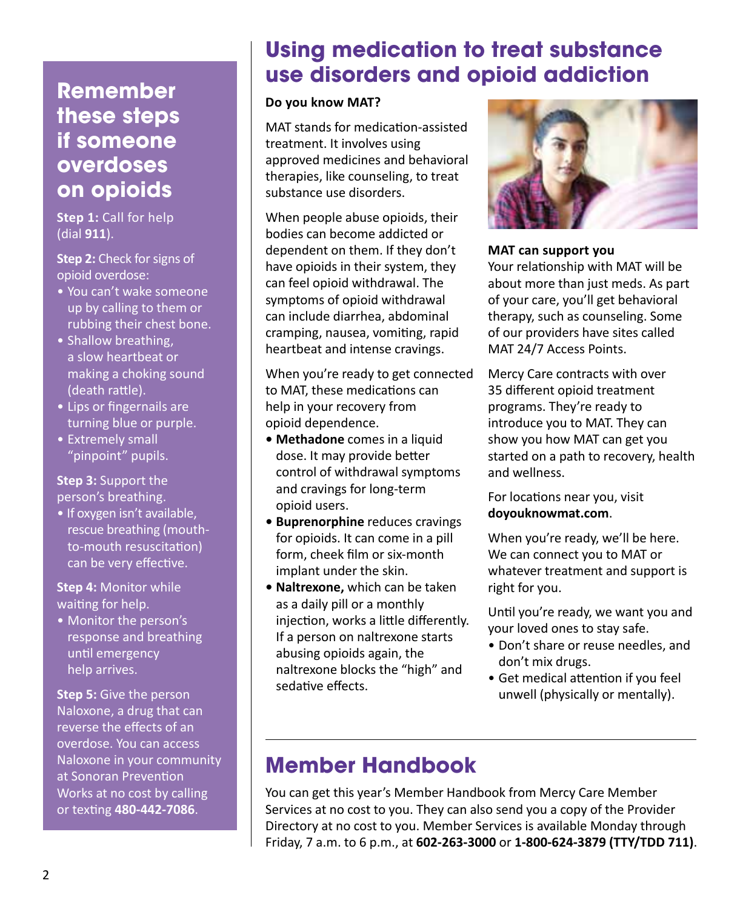### **Remember these steps if someone overdoses on opioids**

 **Step 1:** Call for help (dial **911**).

 **Step 2:** Check for signs of opioid overdose:

- You can't wake someone up by calling to them or rubbing their chest bone.
- Shallow breathing, a slow heartbeat or making a choking sound (death rattle).
- Lips or fingernails are turning blue or purple.
- Extremely small "pinpoint" pupils.

#### **Step 3:** Support the person's breathing.

• If oxygen isn't available, rescue breathing (mouthto-mouth resuscitation) can be very effective.

 **Step 4:** Monitor while waiting for help.

• Monitor the person's response and breathing until emergency help arrives.

 **Step 5:** Give the person Naloxone, a drug that can reverse the effects of an overdose. You can access Naloxone in your community at Sonoran Prevention Works at no cost by calling or texting **480-442-7086**.

### **Using medication to treat substance use disorders and opioid addiction**

#### **Do you know MAT?**

MAT stands for medication-assisted treatment. It involves using approved medicines and behavioral therapies, like counseling, to treat substance use disorders.

When people abuse opioids, their bodies can become addicted or dependent on them. If they don't have opioids in their system, they can feel opioid withdrawal. The symptoms of opioid withdrawal can include diarrhea, abdominal cramping, nausea, vomiting, rapid heartbeat and intense cravings.

When you're ready to get connected to MAT, these medications can help in your recovery from opioid dependence.

- **• Methadone** comes in a liquid dose. It may provide better control of withdrawal symptoms and cravings for long-term opioid users.
- **• Buprenorphine** reduces cravings for opioids. It can come in a pill form, cheek film or six-month implant under the skin.
- **• Naltrexone,** which can be taken as a daily pill or a monthly injection, works a little differently. If a person on naltrexone starts abusing opioids again, the naltrexone blocks the "high" and sedative effects.



### **MAT can support you**

Your relationship with MAT will be about more than just meds. As part of your care, you'll get behavioral therapy, such as counseling. Some of our providers have sites called MAT 24/7 Access Points.

Mercy Care contracts with over 35 different opioid treatment programs. They're ready to introduce you to MAT. They can show you how MAT can get you started on a path to recovery, health and wellness.

For locations near you, visit **doyouknowmat.com**.

When you're ready, we'll be here. We can connect you to MAT or whatever treatment and support is right for you.

Until you're ready, we want you and your loved ones to stay safe.

- Don't share or reuse needles, and don't mix drugs.
- Get medical attention if you feel unwell (physically or mentally).

## **Member Handbook**

You can get this year's Member Handbook from Mercy Care Member Services at no cost to you. They can also send you a copy of the Provider Directory at no cost to you. Member Services is available Monday through Friday, 7 a.m. to 6 p.m., at **602-263-3000** or **1-800-624-3879 (TTY/TDD 711)**.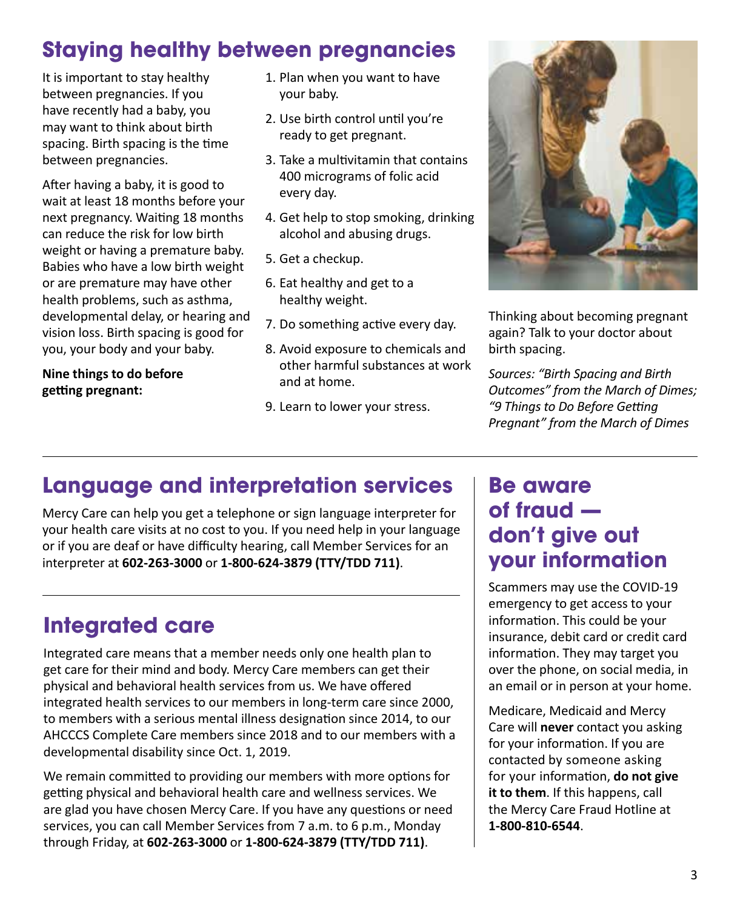### **Staying healthy between pregnancies**

It is important to stay healthy between pregnancies. If you have recently had a baby, you may want to think about birth spacing. Birth spacing is the time between pregnancies.

After having a baby, it is good to wait at least 18 months before your next pregnancy. Waiting 18 months can reduce the risk for low birth weight or having a premature baby. Babies who have a low birth weight or are premature may have other health problems, such as asthma, developmental delay, or hearing and vision loss. Birth spacing is good for you, your body and your baby.

 **Nine things to do before getting pregnant:**

- 1. Plan when you want to have your baby.
- 2. Use birth control until you're ready to get pregnant.
- 3. Take a multivitamin that contains 400 micrograms of folic acid every day.
- 4. Get help to stop smoking, drinking alcohol and abusing drugs.
- 5. Get a checkup.
- 6. Eat healthy and get to a healthy weight.
- 7. Do something active every day.
- 8. Avoid exposure to chemicals and other harmful substances at work and at home.
- 9. Learn to lower your stress.



Thinking about becoming pregnant again? Talk to your doctor about birth spacing.

*Sources: "Birth Spacing and Birth Outcomes" from the March of Dimes; "9 Things to Do Before Getting Pregnant" from the March of Dimes* 

### **Language and interpretation services**

Mercy Care can help you get a telephone or sign language interpreter for your health care visits at no cost to you. If you need help in your language or if you are deaf or have difficulty hearing, call Member Services for an interpreter at **602-263-3000** or **1-800-624-3879 (TTY/TDD 711)**.

### **Integrated care**

Integrated care means that a member needs only one health plan to get care for their mind and body. Mercy Care members can get their physical and behavioral health services from us. We have offered integrated health services to our members in long-term care since 2000, to members with a serious mental illness designation since 2014, to our AHCCCS Complete Care members since 2018 and to our members with a developmental disability since Oct. 1, 2019.

 services, you can call Member Services from 7 a.m. to 6 p.m., Monday We remain committed to providing our members with more options for getting physical and behavioral health care and wellness services. We are glad you have chosen Mercy Care. If you have any questions or need through Friday, at **602-263-3000** or **1-800-624-3879 (TTY/TDD 711)**.

### **Be aware of fraud don't give out your information**

Scammers may use the COVID-19 emergency to get access to your information. This could be your insurance, debit card or credit card information. They may target you over the phone, on social media, in an email or in person at your home.

Medicare, Medicaid and Mercy Care will **never** contact you asking for your information. If you are contacted by someone asking for your information, **do not give it to them**. If this happens, call the Mercy Care Fraud Hotline at **1-800-810-6544**.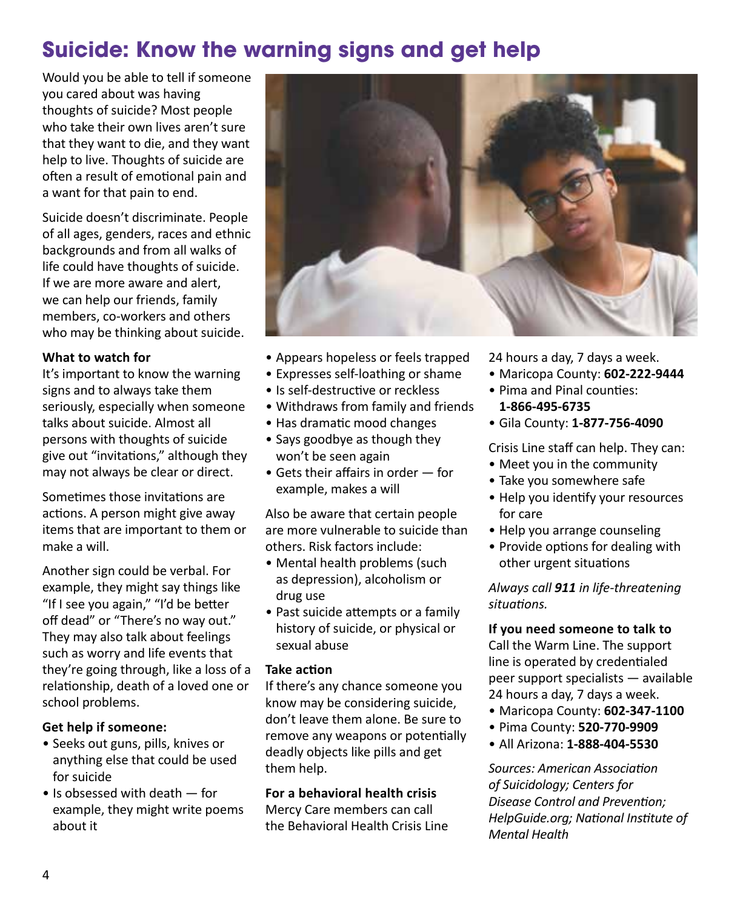### **Suicide: Know the warning signs and get help**

Would you be able to tell if someone you cared about was having thoughts of suicide? Most people who take their own lives aren't sure that they want to die, and they want help to live. Thoughts of suicide are often a result of emotional pain and a want for that pain to end.

Suicide doesn't discriminate. People of all ages, genders, races and ethnic backgrounds and from all walks of life could have thoughts of suicide. If we are more aware and alert, we can help our friends, family members, co-workers and others who may be thinking about suicide.

#### **What to watch for**

It's important to know the warning signs and to always take them seriously, especially when someone talks about suicide. Almost all persons with thoughts of suicide give out "invitations," although they may not always be clear or direct.

Sometimes those invitations are actions. A person might give away items that are important to them or make a will.

Another sign could be verbal. For example, they might say things like "If I see you again," "I'd be better off dead" or "There's no way out." They may also talk about feelings such as worry and life events that they're going through, like a loss of a relationship, death of a loved one or school problems.

### **Get help if someone:**

- Seeks out guns, pills, knives or anything else that could be used for suicide
- Is obsessed with death for example, they might write poems about it



- Appears hopeless or feels trapped
- Expresses self-loathing or shame
- Is self-destructive or reckless
- Withdraws from family and friends
- Has dramatic mood changes
- Says goodbye as though they won't be seen again
- Gets their affairs in order for example, makes a will

Also be aware that certain people are more vulnerable to suicide than others. Risk factors include:

- Mental health problems (such as depression), alcoholism or drug use
- Past suicide attempts or a family history of suicide, or physical or sexual abuse

#### **Take action**

If there's any chance someone you know may be considering suicide, don't leave them alone. Be sure to remove any weapons or potentially deadly objects like pills and get them help.

### **For a behavioral health crisis**

Mercy Care members can call the Behavioral Health Crisis Line

- 24 hours a day, 7 days a week.
- Maricopa County: **602-222-9444**
- Pima and Pinal counties: **1-866-495-6735**
- Gila County: **1-877-756-4090**

Crisis Line staff can help. They can:

- Meet you in the community
- Take you somewhere safe
- Help you identify your resources for care
- Help you arrange counseling
- Provide options for dealing with other urgent situations

*Always call 911 in life‑threatening situations.*

**If you need someone to talk to** Call the Warm Line. The support line is operated by credentialed peer support specialists — available 24 hours a day, 7 days a week.

- Maricopa County: **602-347-1100**
- Pima County: **520-770-9909**
- All Arizona: **1-888-404-5530**

*Sources: American Association of Suicidology; Centers for Disease Control and Prevention; HelpGuide.org; National Institute of Mental Health*